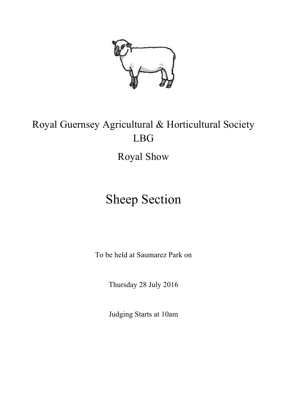

# Royal Guernsey Agricultural & Horticultural Society LBG Royal Show

# Sheep Section

To be held at Saumarez Park on

Thursday 28 July 2016

Judging Starts at 10am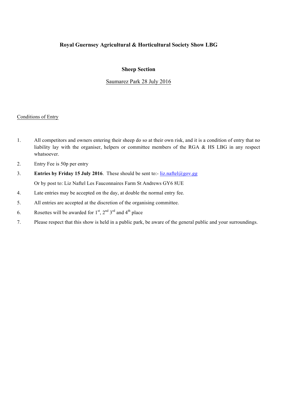# **Royal Guernsey Agricultural & Horticultural Society Show LBG**

### **Sheep Section**

## Saumarez Park 28 July 2016

#### Conditions of Entry

- 1. All competitors and owners entering their sheep do so at their own risk, and it is a condition of entry that no liability lay with the organiser, helpers or committee members of the RGA & HS LBG in any respect whatsoever.
- 2. Entry Fee is 50p per entry
- 3. **Entries by Friday 15 July 2016**. These should be sent to:- liz.naftel@gov.gg Or by post to: Liz Naftel Les Fauconnaires Farm St Andrews GY6 8UE
- 4. Late entries may be accepted on the day, at double the normal entry fee.
- 5. All entries are accepted at the discretion of the organising committee.
- 6. Rosettes will be awarded for  $1<sup>st</sup>$ ,  $2<sup>nd</sup> 3<sup>rd</sup>$  and  $4<sup>th</sup>$  place
- 7. Please respect that this show is held in a public park, be aware of the general public and your surroundings.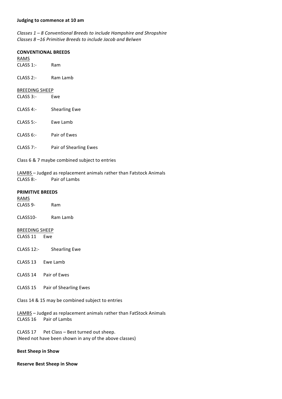*Classes* 1 – 8 *Conventional Breeds to include Hampshire and Shropshire Classes 8 –16 Primitive Breeds to include Jacob and Belwen*

#### **CONVENTIONAL BREEDS**

| RAMS         |          |
|--------------|----------|
| $CLASS 1$ :- | Ram      |
| CLASS 2:     | Ram Lamb |
|              |          |

#### **BREEDING SHEEP**

| CLASS 3:- |  |  | Ewe |  |
|-----------|--|--|-----|--|
|-----------|--|--|-----|--|

- CLASS 4:- Shearling Ewe
- CLASS 5:- Ewe Lamb
- CLASS 6:- Pair of Ewes
- CLASS 7:- Pair of Shearling Ewes
- Class 6 & 7 maybe combined subject to entries

LAMBS - Judged as replacement animals rather than Fatstock Animals CLASS 8:- Pair of Lambs

#### **PRIMITIVE BREEDS**

RAMS CLASS 9- Ram

CLASS10- Ram Lamb

**BREEDING SHEEP** CLASS 11 Ewe

- CLASS 12:- Shearling Ewe
- CLASS 13 Ewe Lamb
- CLASS 14 Pair of Ewes
- CLASS 15 Pair of Shearling Ewes

Class 14 & 15 may be combined subject to entries

LAMBS - Judged as replacement animals rather than FatStock Animals CLASS 16 Pair of Lambs

CLASS 17 Pet Class - Best turned out sheep. (Need not have been shown in any of the above classes)

#### **Best Sheep in Show**

#### **Reserve Best Sheep in Show**